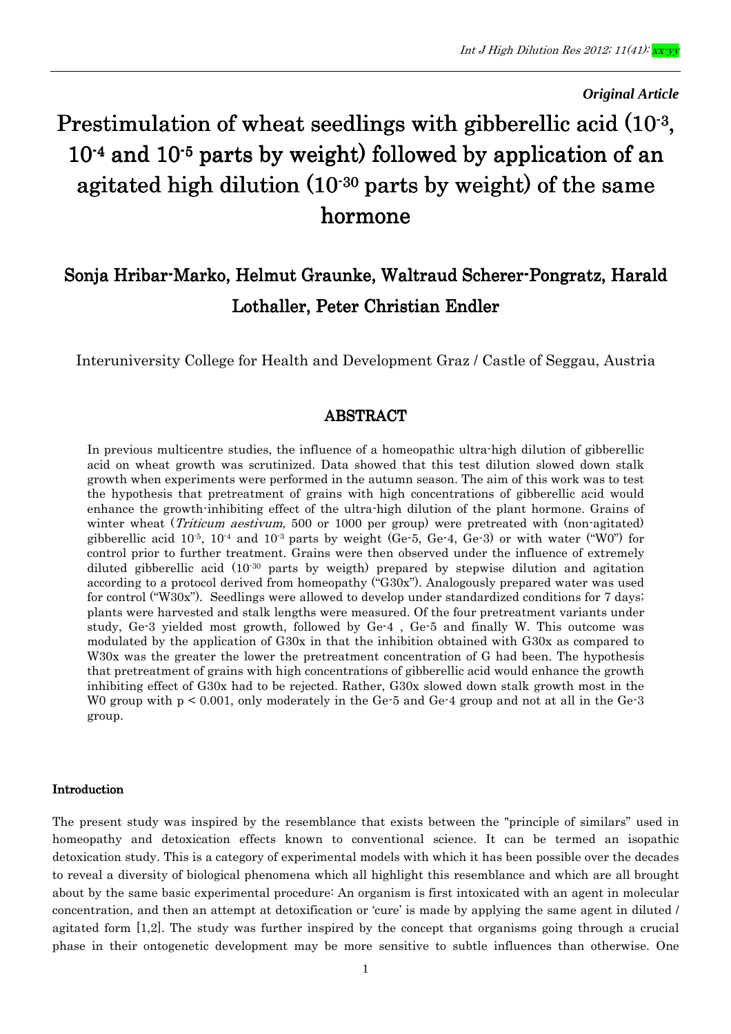#### *Original Article*

# Prestimulation of wheat seedlings with gibberellic acid  $(10^{-3},$  $10^{-4}$  and  $10^{-5}$  parts by weight) followed by application of an agitated high dilution  $(10^{-30}$  parts by weight) of the same hormone

## Sonja Hribar-Marko, Helmut Graunke, Waltraud Scherer-Pongratz, Harald Lothaller, Peter Christian Endler

Interuniversity College for Health and Development Graz / Castle of Seggau, Austria

## ABSTRACT

In previous multicentre studies, the influence of a homeopathic ultra-high dilution of gibberellic acid on wheat growth was scrutinized. Data showed that this test dilution slowed down stalk growth when experiments were performed in the autumn season. The aim of this work was to test the hypothesis that pretreatment of grains with high concentrations of gibberellic acid would enhance the growth-inhibiting effect of the ultra-high dilution of the plant hormone. Grains of winter wheat (*Triticum aestivum*, 500 or 1000 per group) were pretreated with (non-agitated) gibberellic acid  $10^{-5}$ ,  $10^{-4}$  and  $10^{-3}$  parts by weight (Ge-5, Ge-4, Ge-3) or with water ("W0") for control prior to further treatment. Grains were then observed under the influence of extremely diluted gibberellic acid  $(10^{30}$  parts by weigth) prepared by stepwise dilution and agitation according to a protocol derived from homeopathy ("G30x"). Analogously prepared water was used for control ("W30x"). Seedlings were allowed to develop under standardized conditions for 7 days; plants were harvested and stalk lengths were measured. Of the four pretreatment variants under study, Ge-3 yielded most growth, followed by Ge-4 , Ge-5 and finally W. This outcome was modulated by the application of G30x in that the inhibition obtained with G30x as compared to W<sub>30x</sub> was the greater the lower the pretreatment concentration of G had been. The hypothesis that pretreatment of grains with high concentrations of gibberellic acid would enhance the growth inhibiting effect of G30x had to be rejected. Rather, G30x slowed down stalk growth most in the W0 group with p < 0.001, only moderately in the Ge-5 and Ge-4 group and not at all in the Ge-3 group.

#### **Introduction**

The present study was inspired by the resemblance that exists between the "principle of similars" used in homeopathy and detoxication effects known to conventional science. It can be termed an isopathic detoxication study. This is a category of experimental models with which it has been possible over the decades to reveal a diversity of biological phenomena which all highlight this resemblance and which are all brought about by the same basic experimental procedure: An organism is first intoxicated with an agent in molecular concentration, and then an attempt at detoxification or 'cure' is made by applying the same agent in diluted / agitated form [1,2]. The study was further inspired by the concept that organisms going through a crucial phase in their ontogenetic development may be more sensitive to subtle influences than otherwise. One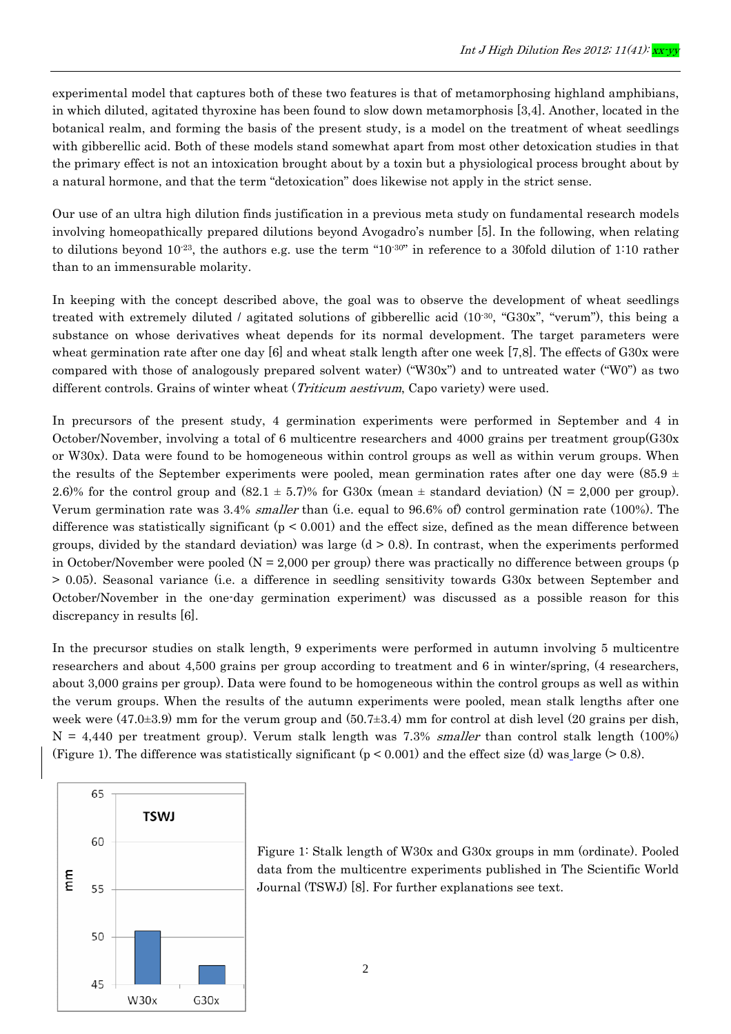experimental model that captures both of these two features is that of metamorphosing highland amphibians, in which diluted, agitated thyroxine has been found to slow down metamorphosis [3,4]. Another, located in the botanical realm, and forming the basis of the present study, is a model on the treatment of wheat seedlings with gibberellic acid. Both of these models stand somewhat apart from most other detoxication studies in that the primary effect is not an intoxication brought about by a toxin but a physiological process brought about by a natural hormone, and that the term "detoxication" does likewise not apply in the strict sense.

Our use of an ultra high dilution finds justification in a previous meta study on fundamental research models involving homeopathically prepared dilutions beyond Avogadro's number [5]. In the following, when relating to dilutions beyond  $10^{-23}$ , the authors e.g. use the term "10<sup>-30"</sup> in reference to a 30fold dilution of 1:10 rather than to an immensurable molarity.

In keeping with the concept described above, the goal was to observe the development of wheat seedlings treated with extremely diluted / agitated solutions of gibberellic acid  $(10^{-30}$ , "G30x", "verum"), this being a substance on whose derivatives wheat depends for its normal development. The target parameters were wheat germination rate after one day [6] and wheat stalk length after one week [7,8]. The effects of G30x were compared with those of analogously prepared solvent water) ("W30x") and to untreated water ("W0") as two different controls. Grains of winter wheat (*Triticum aestivum*, Capo variety) were used.

In precursors of the present study, 4 germination experiments were performed in September and 4 in October/November, involving a total of 6 multicentre researchers and 4000 grains per treatment group(G30x or W30x). Data were found to be homogeneous within control groups as well as within verum groups. When the results of the September experiments were pooled, mean germination rates after one day were  $(85.9 \pm 1.00)$ 2.6)% for the control group and  $(82.1 \pm 5.7)\%$  for G30x (mean  $\pm$  standard deviation) (N = 2,000 per group). Verum germination rate was 3.4% smaller than (i.e. equal to 96.6% of) control germination rate (100%). The difference was statistically significant  $(p < 0.001)$  and the effect size, defined as the mean difference between groups, divided by the standard deviation) was large  $(d > 0.8)$ . In contrast, when the experiments performed in October/November were pooled ( $N = 2,000$  per group) there was practically no difference between groups (p > 0.05). Seasonal variance (i.e. a difference in seedling sensitivity towards G30x between September and October/November in the one-day germination experiment) was discussed as a possible reason for this discrepancy in results [6].

In the precursor studies on stalk length, 9 experiments were performed in autumn involving 5 multicentre researchers and about 4,500 grains per group according to treatment and 6 in winter/spring, (4 researchers, about 3,000 grains per group). Data were found to be homogeneous within the control groups as well as within the verum groups. When the results of the autumn experiments were pooled, mean stalk lengths after one week were  $(47.0\pm3.9)$  mm for the verum group and  $(50.7\pm3.4)$  mm for control at dish level  $(20 \text{ grains per dish})$ ,  $N = 4,440$  per treatment group). Verum stalk length was 7.3% *smaller* than control stalk length (100%) (Figure 1). The difference was statistically significant  $(p < 0.001)$  and the effect size (d) was large ( $> 0.8$ ).



Figure 1: Stalk length of W30x and G30x groups in mm (ordinate). Pooled data from the multicentre experiments published in The Scientific World Journal (TSWJ) [8]. For further explanations see text.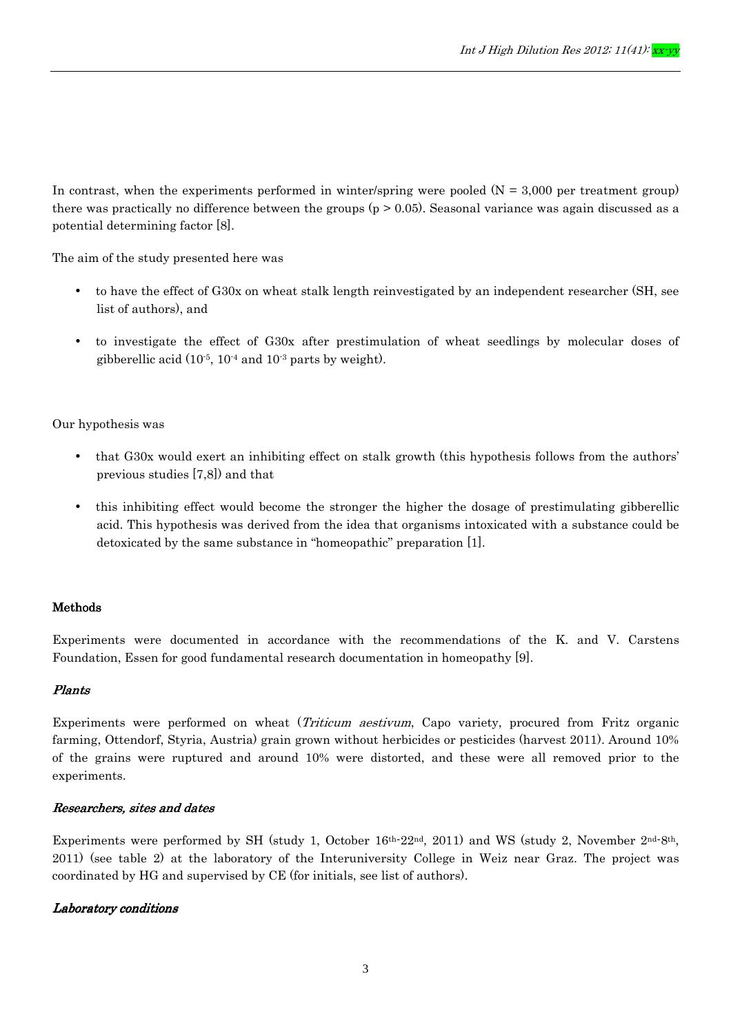In contrast, when the experiments performed in winter/spring were pooled  $(N = 3,000$  per treatment group) there was practically no difference between the groups  $(p > 0.05)$ . Seasonal variance was again discussed as a potential determining factor [8].

The aim of the study presented here was

- to have the effect of G30x on wheat stalk length reinvestigated by an independent researcher (SH, see list of authors), and
- to investigate the effect of G30x after prestimulation of wheat seedlings by molecular doses of gibberellic acid (10-5, 10-4 and 10-3 parts by weight).

#### Our hypothesis was

- that G30x would exert an inhibiting effect on stalk growth (this hypothesis follows from the authors' previous studies [7,8]) and that
- this inhibiting effect would become the stronger the higher the dosage of prestimulating gibberellic acid. This hypothesis was derived from the idea that organisms intoxicated with a substance could be detoxicated by the same substance in "homeopathic" preparation [1].

## **Methods**

Experiments were documented in accordance with the recommendations of the K. and V. Carstens Foundation, Essen for good fundamental research documentation in homeopathy [9].

#### Plants

Experiments were performed on wheat (Triticum aestivum, Capo variety, procured from Fritz organic farming, Ottendorf, Styria, Austria) grain grown without herbicides or pesticides (harvest 2011). Around 10% of the grains were ruptured and around 10% were distorted, and these were all removed prior to the experiments.

## Researchers, sites and dates

Experiments were performed by SH (study 1, October 16<sup>th-22nd</sup>, 2011) and WS (study 2, November 2<sup>nd-8th</sup>, 2011) (see table 2) at the laboratory of the Interuniversity College in Weiz near Graz. The project was coordinated by HG and supervised by CE (for initials, see list of authors).

#### Laboratory conditions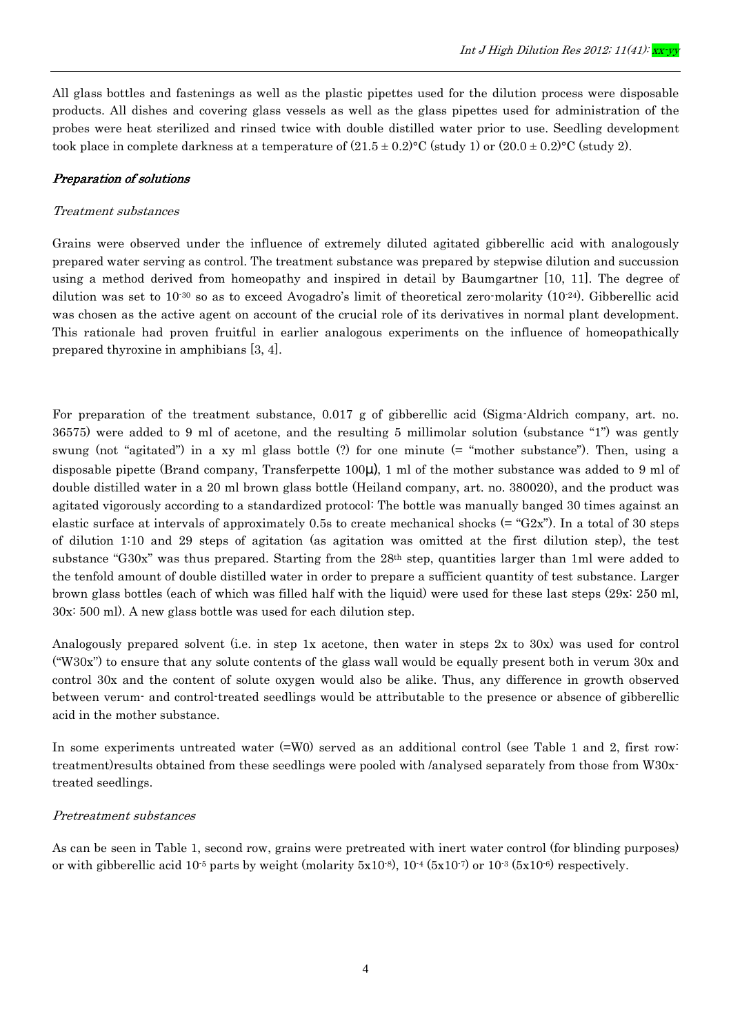All glass bottles and fastenings as well as the plastic pipettes used for the dilution process were disposable products. All dishes and covering glass vessels as well as the glass pipettes used for administration of the probes were heat sterilized and rinsed twice with double distilled water prior to use. Seedling development took place in complete darkness at a temperature of  $(21.5 \pm 0.2)$ °C (study 1) or  $(20.0 \pm 0.2)$ °C (study 2).

#### Preparation of solutions

#### Treatment substances

Grains were observed under the influence of extremely diluted agitated gibberellic acid with analogously prepared water serving as control. The treatment substance was prepared by stepwise dilution and succussion using a method derived from homeopathy and inspired in detail by Baumgartner [10, 11]. The degree of dilution was set to  $10^{-30}$  so as to exceed Avogadro's limit of theoretical zero-molarity  $(10^{-24})$ . Gibberellic acid was chosen as the active agent on account of the crucial role of its derivatives in normal plant development. This rationale had proven fruitful in earlier analogous experiments on the influence of homeopathically prepared thyroxine in amphibians [3, 4].

For preparation of the treatment substance, 0.017 g of gibberellic acid (Sigma-Aldrich company, art. no. 36575) were added to 9 ml of acetone, and the resulting 5 millimolar solution (substance "1") was gently swung (not "agitated") in a xy ml glass bottle (?) for one minute (= "mother substance"). Then, using a disposable pipette (Brand company, Transferpette 100µ), 1 ml of the mother substance was added to 9 ml of double distilled water in a 20 ml brown glass bottle (Heiland company, art. no. 380020), and the product was agitated vigorously according to a standardized protocol: The bottle was manually banged 30 times against an elastic surface at intervals of approximately 0.5s to create mechanical shocks  $(=$  " $G2x$ "). In a total of 30 steps of dilution 1:10 and 29 steps of agitation (as agitation was omitted at the first dilution step), the test substance "G30x" was thus prepared. Starting from the 28<sup>th</sup> step, quantities larger than 1ml were added to the tenfold amount of double distilled water in order to prepare a sufficient quantity of test substance. Larger brown glass bottles (each of which was filled half with the liquid) were used for these last steps (29x: 250 ml, 30x: 500 ml). A new glass bottle was used for each dilution step.

Analogously prepared solvent (i.e. in step 1x acetone, then water in steps 2x to 30x) was used for control ("W30x") to ensure that any solute contents of the glass wall would be equally present both in verum 30x and control 30x and the content of solute oxygen would also be alike. Thus, any difference in growth observed between verum- and control-treated seedlings would be attributable to the presence or absence of gibberellic acid in the mother substance.

In some experiments untreated water (=W0) served as an additional control (see Table 1 and 2, first row: treatment)results obtained from these seedlings were pooled with /analysed separately from those from W30xtreated seedlings.

#### Pretreatment substances

As can be seen in Table 1, second row, grains were pretreated with inert water control (for blinding purposes) or with gibberellic acid  $10^{-5}$  parts by weight (molarity  $5x10^{-8}$ ),  $10^{-4}$   $(5x10^{-7})$  or  $10^{-3}$   $(5x10^{-6})$  respectively.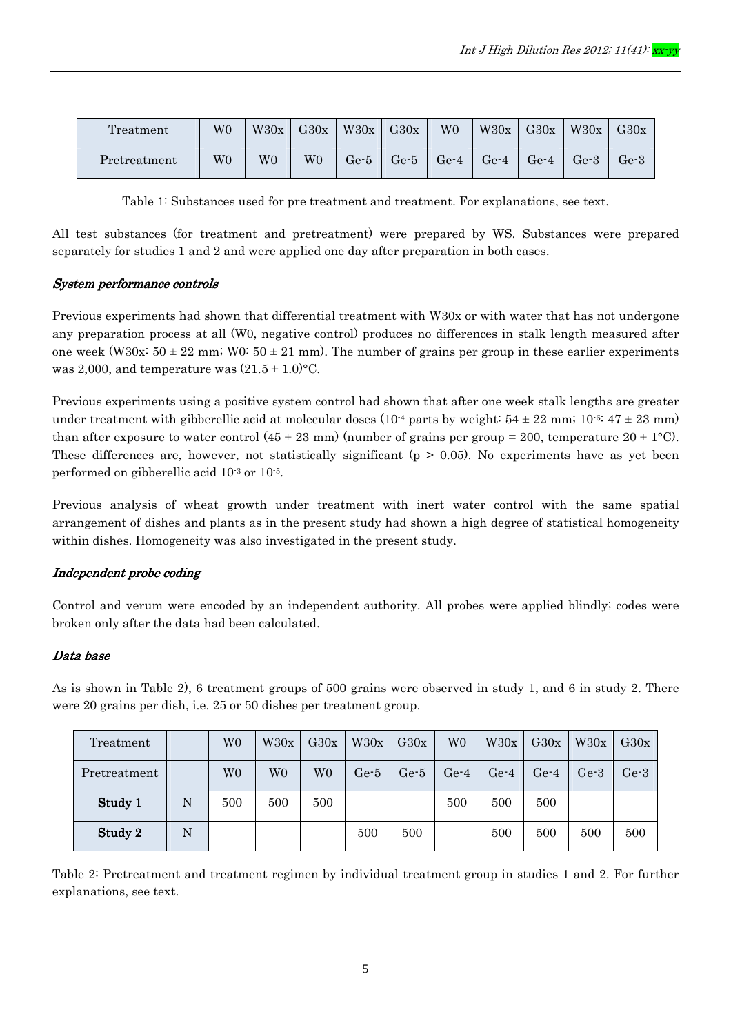| Treatment    | W0          | W30x | G30x           | W30x   | G30x   | W <sub>0</sub> | W30x   | G30x   | W30x   | G30x                         |
|--------------|-------------|------|----------------|--------|--------|----------------|--------|--------|--------|------------------------------|
| Pretreatment | $_{\rm W0}$ | W0   | W <sub>0</sub> | $Ge-5$ | $Ge-5$ | $Ge-4$         | $Ge-4$ | $Ge-4$ | $Ge-3$ | $\operatorname{Ge\text{-}3}$ |

Table 1: Substances used for pre treatment and treatment. For explanations, see text.

All test substances (for treatment and pretreatment) were prepared by WS. Substances were prepared separately for studies 1 and 2 and were applied one day after preparation in both cases.

#### System performance controls System performance

Previous experiments had shown that differential treatment with W30x or with water that has not undergone any preparation process at all (W0, negative control) produces no differences in stalk length measured after one week (W30x:  $50 \pm 22$  mm; W0:  $50 \pm 21$  mm). The number of grains per group in these earlier experiments was 2,000, and temperature was  $(21.5 \pm 1.0)$ °C.

Previous experiments using a positive system control had shown that after one week stalk lengths are greater under treatment with gibberellic acid at molecular doses  $(10^{-4}$  parts by weight:  $54 \pm 22$  mm;  $10^{-6}$ :  $47 \pm 23$  mm) than after exposure to water control  $(45 \pm 23 \text{ mm})$  (number of grains per group = 200, temperature  $20 \pm 1^{\circ}$ C). These differences are, however, not statistically significant  $(p > 0.05)$ . No experiments have as yet been performed on gibberellic acid 10-3 or 10-5.

Previous analysis of wheat growth under treatment with inert water control with the same spatial arrangement of dishes and plants as in the present study had shown a high degree of statistical homogeneity within dishes. Homogeneity was also investigated in the present study.

#### Independent probe coding

Control and verum were encoded by an independent authority. All probes were applied blindly; codes were broken only after the data had been calculated.

#### Data base

As is shown in Table 2), 6 treatment groups of 500 grains were observed in study 1, and 6 in study 2. There were 20 grains per dish, i.e. 25 or 50 dishes per treatment group.

| Treatment    |   | W0  | W30x           | G30x           | W30x | G30x   | W <sub>0</sub> | W30x   | G30x   | W30x   | G30x   |
|--------------|---|-----|----------------|----------------|------|--------|----------------|--------|--------|--------|--------|
| Pretreatment |   | W0  | W <sub>0</sub> | W <sub>0</sub> | Ge-5 | $Ge-5$ | $Ge-4$         | $Ge-4$ | $Ge-4$ | $Ge-3$ | $Ge-3$ |
| Study 1      | N | 500 | 500            | 500            |      |        | 500            | 500    | 500    |        |        |
| Study 2      | N |     |                |                | 500  | 500    |                | 500    | 500    | 500    | 500    |

Table 2: Pretreatment and treatment regimen by individual treatment group in studies 1 and 2. For further explanations, see text.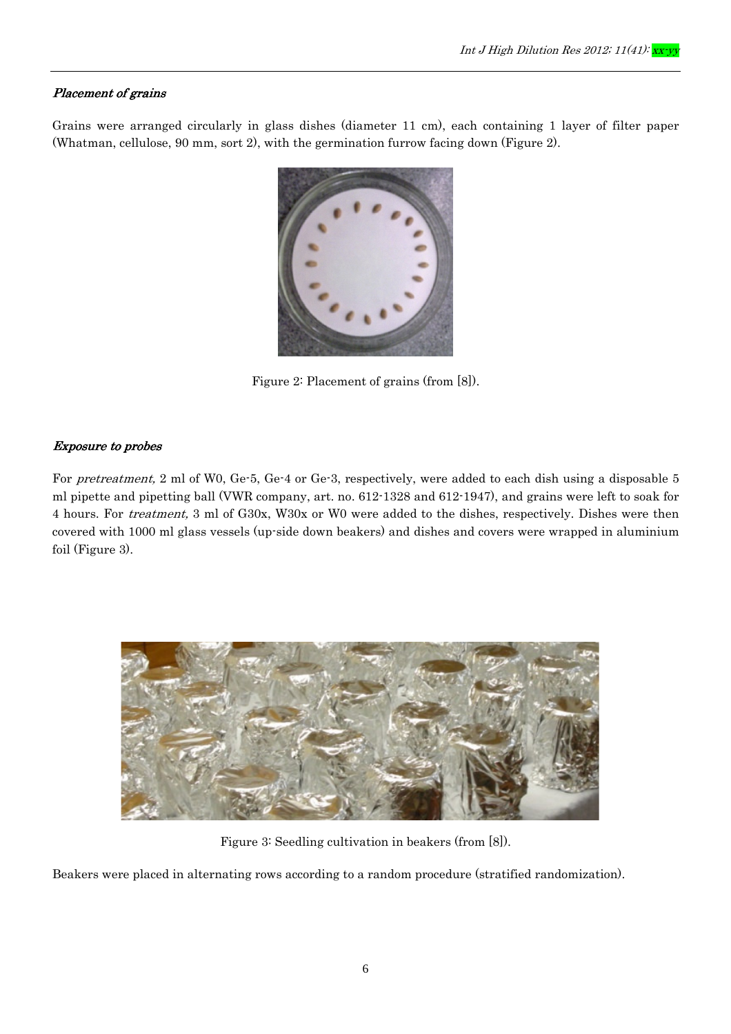### Placement of grains

Grains were arranged circularly in glass dishes (diameter 11 cm), each containing 1 layer of filter paper (Whatman, cellulose, 90 mm, sort 2), with the germination furrow facing down (Figure 2).



Figure 2: Placement of grains (from [8]).

## Exposure to probes

For pretreatment, 2 ml of W0, Ge-5, Ge-4 or Ge-3, respectively, were added to each dish using a disposable 5 ml pipette and pipetting ball (VWR company, art. no. 612-1328 and 612-1947), and grains were left to soak for 4 hours. For treatment, 3 ml of G30x, W30x or W0 were added to the dishes, respectively. Dishes were then covered with 1000 ml glass vessels (up-side down beakers) and dishes and covers were wrapped in aluminium foil (Figure 3).



Figure 3: Seedling cultivation in beakers (from [8]).

Beakers were placed in alternating rows according to a random procedure (stratified randomization).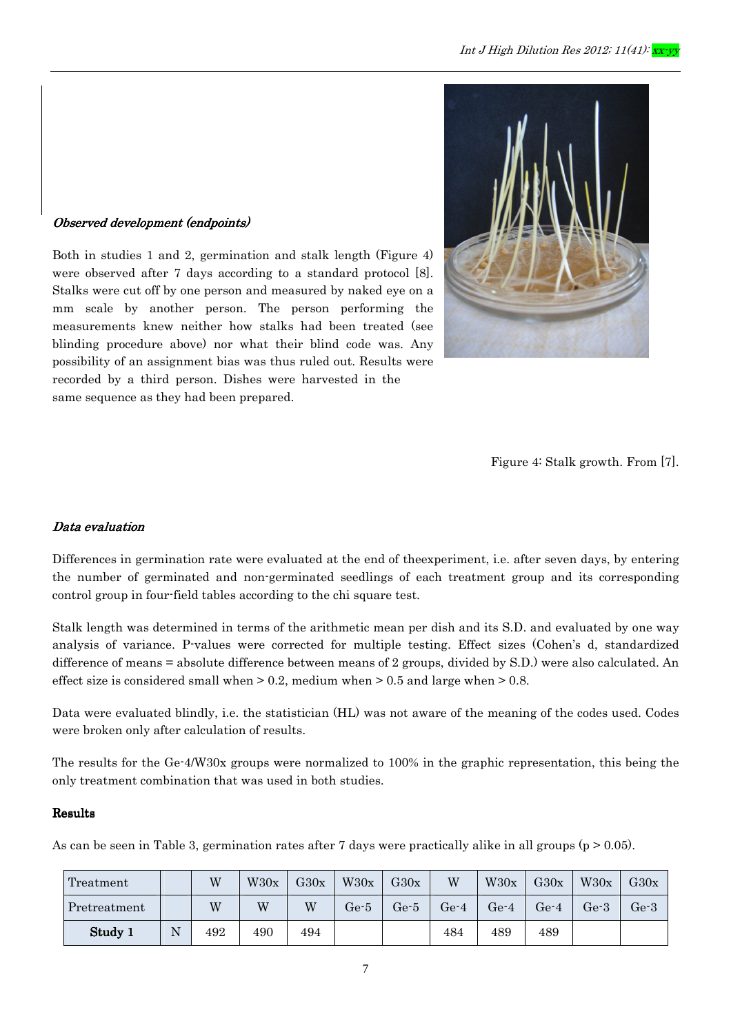## Observed development (endpoints)

Both in studies 1 and 2, germination and stalk length (Figure 4) were observed after 7 days according to a standard protocol [8]. Stalks were cut off by one person and measured by naked eye on a mm scale by another person. The person performing the measurements knew neither how stalks had been treated (see blinding procedure above) nor what their blind code was. Any possibility of an assignment bias was thus ruled out. Results were recorded by a third person. Dishes were harvested in the same sequence as they had been prepared.



Figure 4: Stalk growth. From [7].

#### Data evaluation

Differences in germination rate were evaluated at the end of theexperiment, i.e. after seven days, by entering the number of germinated and non-germinated seedlings of each treatment group and its corresponding control group in four-field tables according to the chi square test.

Stalk length was determined in terms of the arithmetic mean per dish and its S.D. and evaluated by one way analysis of variance. P-values were corrected for multiple testing. Effect sizes (Cohen's d, standardized difference of means = absolute difference between means of 2 groups, divided by S.D.) were also calculated. An effect size is considered small when > 0.2, medium when > 0.5 and large when > 0.8.

Data were evaluated blindly, i.e. the statistician (HL) was not aware of the meaning of the codes used. Codes were broken only after calculation of results.

The results for the Ge-4/W30x groups were normalized to 100% in the graphic representation, this being the only treatment combination that was used in both studies.

#### **Results**

As can be seen in Table 3, germination rates after 7 days were practically alike in all groups ( $p > 0.05$ ).

| Treatment    |   | W   | W30x | G30x | W30x                  | G30x                  | W      | W30x   | G30x   | W30x   | G30x   |
|--------------|---|-----|------|------|-----------------------|-----------------------|--------|--------|--------|--------|--------|
| Pretreatment |   | W   | W    | W    | $\operatorname{Ge-5}$ | $\operatorname{Ge-5}$ | $Ge-4$ | $Ge-4$ | $Ge-4$ | $Ge-3$ | $Ge-3$ |
| Study 1      | N | 492 | 490  | 494  |                       |                       | 484    | 489    | 489    |        |        |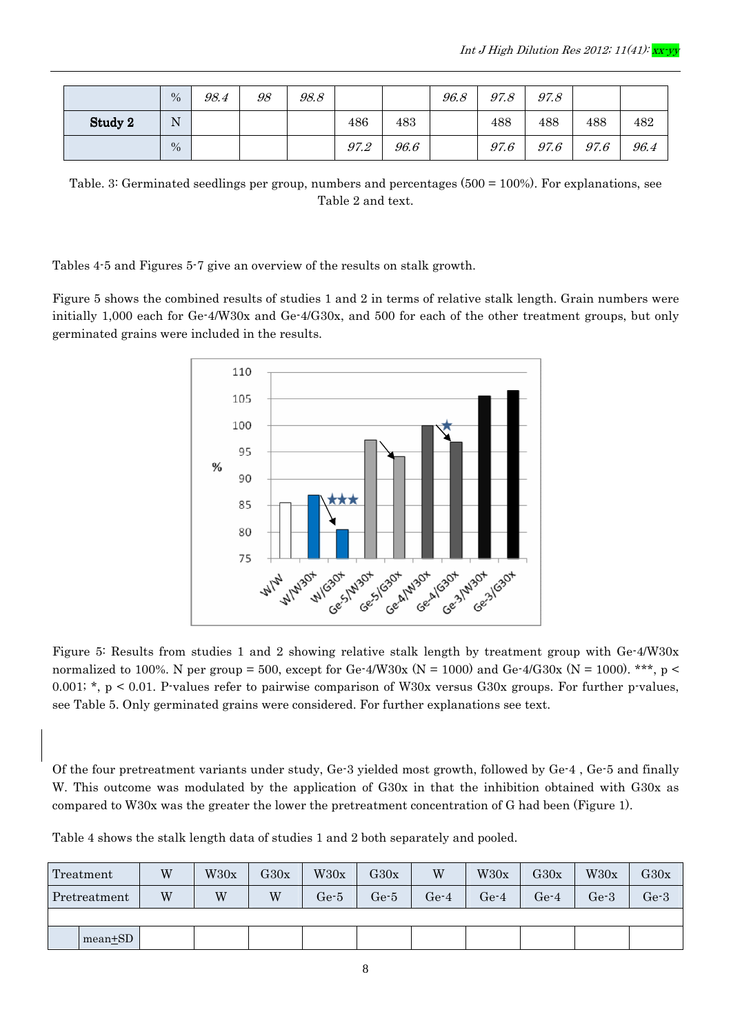|         | $\%$ | 98.4 | 98 | 98.8 |      |      | 96.8 | 97.8 | 97.8 |      |      |
|---------|------|------|----|------|------|------|------|------|------|------|------|
| Study 2 | N    |      |    |      | 486  | 483  |      | 488  | 488  | 488  | 482  |
|         | $\%$ |      |    |      | 97.2 | 96.6 |      | 97.6 | 97.6 | 97.6 | 96.4 |

Table. 3: Germinated seedlings per group, numbers and percentages (500 = 100%). For explanations, see Table 2 and text.

Tables 4-5 and Figures 5-7 give an overview of the results on stalk growth.

Figure 5 shows the combined results of studies 1 and 2 in terms of relative stalk length. Grain numbers were initially 1,000 each for Ge-4/W30x and Ge-4/G30x, and 500 for each of the other treatment groups, but only germinated grains were included in the results.



Figure 5: Results from studies 1 and 2 showing relative stalk length by treatment group with Ge-4/W30x normalized to 100%. N per group = 500, except for Ge-4/W30x (N = 1000) and Ge-4/G30x (N = 1000). \*\*\*, p < 0.001; \*, p < 0.01. P-values refer to pairwise comparison of W30x versus G30x groups. For further p-values, see Table 5. Only germinated grains were considered. For further explanations see text.

Of the four pretreatment variants under study, Ge-3 yielded most growth, followed by Ge-4 , Ge-5 and finally W. This outcome was modulated by the application of G30x in that the inhibition obtained with G30x as compared to W30x was the greater the lower the pretreatment concentration of G had been (Figure 1).

| Treatment    | W | W30x | G30x | W30x   | G30x                  | W                     | W30x   | G30x | W30x   | G30x |
|--------------|---|------|------|--------|-----------------------|-----------------------|--------|------|--------|------|
| Pretreatment | W | W    | W    | $Ge-5$ | $\operatorname{Ge-5}$ | $\operatorname{Ge-4}$ | $Ge-4$ | Ge-4 | $Ge-3$ | Ge-3 |
|              |   |      |      |        |                       |                       |        |      |        |      |
| $mean + SD$  |   |      |      |        |                       |                       |        |      |        |      |

Table 4 shows the stalk length data of studies 1 and 2 both separately and pooled.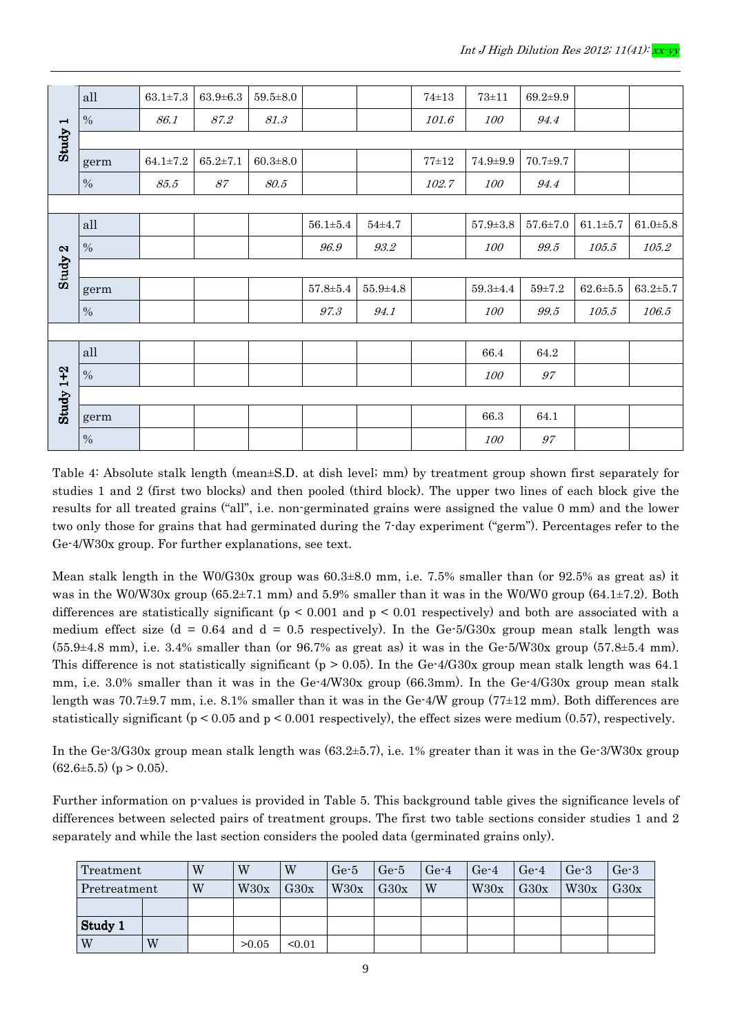|                          | all           | $63.1 \pm 7.3$ | $63.9 \pm 6.3$   | $59.5 \pm 8.0$ |                      |                                      | $74 + 13$ | $73 + 11$      | $69.2 \pm 9.9$           |                    |                |
|--------------------------|---------------|----------------|------------------|----------------|----------------------|--------------------------------------|-----------|----------------|--------------------------|--------------------|----------------|
| $\overline{\phantom{0}}$ | $\%$          | 86.1           | $\mathcal{87}.2$ | 81.3           |                      |                                      | 101.6     | <i>100</i>     | 94.4                     |                    |                |
| Study                    |               |                |                  |                |                      |                                      |           |                |                          |                    |                |
|                          | germ          | $64.1 \pm 7.2$ | $65.2 \pm 7.1$   | $60.3 \pm 8.0$ |                      |                                      | $77 + 12$ | $74.9 \pm 9.9$ | $70.7 + 9.7$             |                    |                |
|                          | $\%$          | $85.5\,$       | $\mathcal{S}7$   | $80.5\,$       |                      |                                      | 102.7     | 100            | 94.4                     |                    |                |
|                          |               |                |                  |                |                      |                                      |           |                |                          |                    |                |
|                          | all           |                |                  |                | $56.1 \pm 5.4$       | $54 + 4.7$                           |           | $57.9 \pm 3.8$ | $57.6 \pm 7.0$           | $61.1 + 5.7$       | $61.0 + 5.8$   |
|                          | $\%$          |                |                  |                | 96.9                 | $\mathcal{G}\mathcal{Z} \mathcal{Z}$ |           | <i>100</i>     | 99.5                     | 105.5              | 105.2          |
| Study 2                  |               |                |                  |                |                      |                                      |           |                |                          |                    |                |
|                          | germ          |                |                  |                | $57.8 \!\!\pm\! 5.4$ | $55.9 + 4.8$                         |           | $59.3 \pm 4.4$ | $59\!\!\pm\!\!7.2$       | $62.6 \!\pm\! 5.5$ | $63.2 \pm 5.7$ |
|                          | $\%$          |                |                  |                | $97.3\,$             | 94.1                                 |           | 100            | $99.5\,$                 | 105.5              | 106.5          |
|                          |               |                |                  |                |                      |                                      |           |                |                          |                    |                |
|                          | all           |                |                  |                |                      |                                      |           | 66.4           | 64.2                     |                    |                |
| Study $1+2$              | $\frac{0}{0}$ |                |                  |                |                      |                                      |           | 100            | $\mathcal{G}\mathcal{T}$ |                    |                |
|                          |               |                |                  |                |                      |                                      |           |                |                          |                    |                |
|                          | germ          |                |                  |                |                      |                                      |           | 66.3           | 64.1                     |                    |                |
|                          | $\%$          |                |                  |                |                      |                                      |           | 100            | 97                       |                    |                |

Table 4: Absolute stalk length (mean±S.D. at dish level; mm) by treatment group shown first separately for studies 1 and 2 (first two blocks) and then pooled (third block). The upper two lines of each block give the results for all treated grains ("all", i.e. non-germinated grains were assigned the value 0 mm) and the lower two only those for grains that had germinated during the 7-day experiment ("germ"). Percentages refer to the Ge-4/W30x group. For further explanations, see text.

Mean stalk length in the W0/G30x group was 60.3±8.0 mm, i.e. 7.5% smaller than (or 92.5% as great as) it was in the W0/W30x group (65.2±7.1 mm) and 5.9% smaller than it was in the W0/W0 group (64.1±7.2). Both differences are statistically significant ( $p < 0.001$  and  $p < 0.01$  respectively) and both are associated with a medium effect size ( $d = 0.64$  and  $d = 0.5$  respectively). In the Ge-5/G30x group mean stalk length was  $(55.9\pm4.8 \text{ mm})$ , i.e. 3.4% smaller than (or 96.7% as great as) it was in the Ge-5/W30x group (57.8 $\pm$ 5.4 mm). This difference is not statistically significant ( $p > 0.05$ ). In the Ge-4/G30x group mean stalk length was 64.1 mm, i.e. 3.0% smaller than it was in the Ge-4/W30x group (66.3mm). In the Ge-4/G30x group mean stalk length was 70.7±9.7 mm, i.e. 8.1% smaller than it was in the Ge-4/W group (77±12 mm). Both differences are statistically significant ( $p < 0.05$  and  $p < 0.001$  respectively), the effect sizes were medium (0.57), respectively.

In the Ge-3/G30x group mean stalk length was (63.2±5.7), i.e. 1% greater than it was in the Ge-3/W30x group  $(62.6\pm5.5)$  (p > 0.05).

Further information on p-values is provided in Table 5. This background table gives the significance levels of differences between selected pairs of treatment groups. The first two table sections consider studies 1 and 2 separately and while the last section considers the pooled data (germinated grains only).

| Treatment    |   | W | W     | W      | $Ge-5$ | $Ge-5$ | $Ge-4$ | $Ge-4$ | $Ge-4$ | $Ge-3$ | $Ge-3$ |
|--------------|---|---|-------|--------|--------|--------|--------|--------|--------|--------|--------|
| Pretreatment |   | W | W30x  | G30x   | W30x   | G30x   | W      | W30x   | G30x   | W30x   | G30x   |
|              |   |   |       |        |        |        |        |        |        |        |        |
| Study 1      |   |   |       |        |        |        |        |        |        |        |        |
| W            | W |   | >0.05 | < 0.01 |        |        |        |        |        |        |        |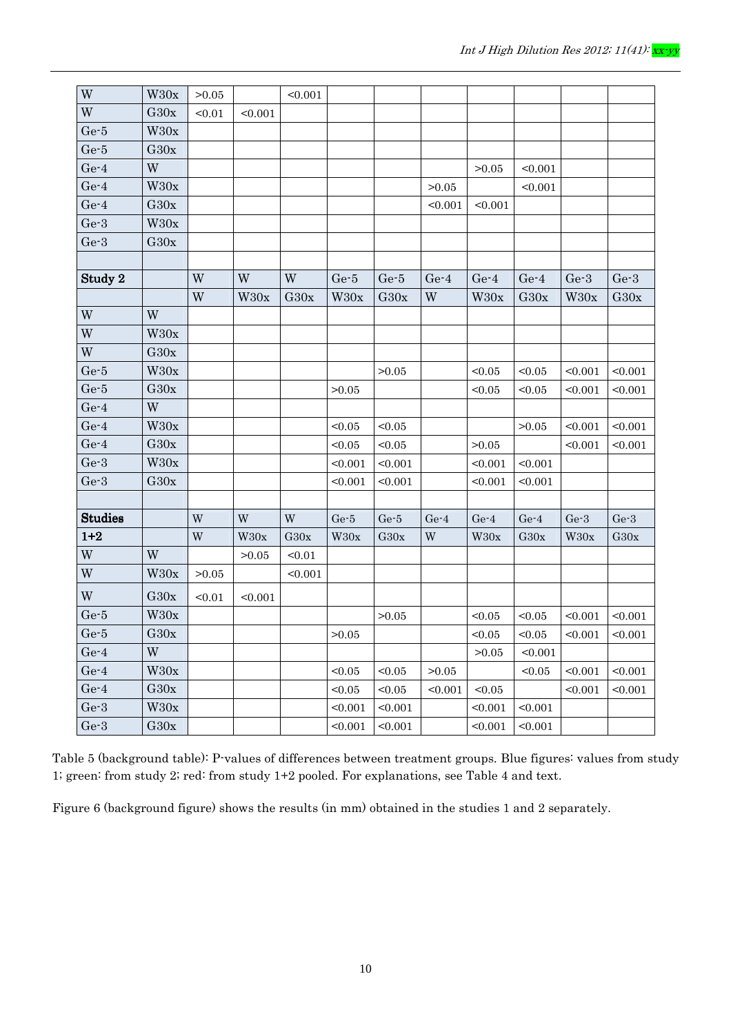| W                       | W30x | >0.05                   |                         | < 0.001                 |                  |         |                         |             |             |         |         |
|-------------------------|------|-------------------------|-------------------------|-------------------------|------------------|---------|-------------------------|-------------|-------------|---------|---------|
| W                       | G30x | < 0.01                  | < 0.001                 |                         |                  |         |                         |             |             |         |         |
| $Ge-5$                  | W30x |                         |                         |                         |                  |         |                         |             |             |         |         |
| $Ge-5$                  | G30x |                         |                         |                         |                  |         |                         |             |             |         |         |
| $Ge-4$                  | W    |                         |                         |                         |                  |         |                         | >0.05       | < 0.001     |         |         |
| $Ge-4$                  | W30x |                         |                         |                         |                  |         | >0.05                   |             | < 0.001     |         |         |
| $Ge-4$                  | G30x |                         |                         |                         |                  |         | < 0.001                 | < 0.001     |             |         |         |
| $Ge-3$                  | W30x |                         |                         |                         |                  |         |                         |             |             |         |         |
| $Ge-3$                  | G30x |                         |                         |                         |                  |         |                         |             |             |         |         |
|                         |      |                         |                         |                         |                  |         |                         |             |             |         |         |
| Study 2                 |      | W                       | W                       | W                       | $Ge-5$           | $Ge-5$  | $Ge-4$                  | $Ge-4$      | $Ge-4$      | $Ge-3$  | $Ge-3$  |
|                         |      | W                       | W <sub>30x</sub>        | G30x                    | W <sub>30x</sub> | G30x    | W                       | W30x        | G30x        | W30x    | G30x    |
| W                       | W    |                         |                         |                         |                  |         |                         |             |             |         |         |
| W                       | W30x |                         |                         |                         |                  |         |                         |             |             |         |         |
| W                       | G30x |                         |                         |                         |                  |         |                         |             |             |         |         |
| $Ge-5$                  | W30x |                         |                         |                         |                  | >0.05   |                         | < 0.05      | < 0.05      | < 0.001 | < 0.001 |
| $Ge-5$                  | G30x |                         |                         |                         | >0.05            |         |                         | < 0.05      | < 0.05      | < 0.001 | < 0.001 |
| $Ge-4$                  | W    |                         |                         |                         |                  |         |                         |             |             |         |         |
| $Ge-4$                  | W30x |                         |                         |                         | < 0.05           | < 0.05  |                         |             | >0.05       | < 0.001 | < 0.001 |
| $Ge-4$                  | G30x |                         |                         |                         | < 0.05           | < 0.05  |                         | >0.05       |             | < 0.001 | < 0.001 |
| $Ge-3$                  | W30x |                         |                         |                         | < 0.001          | < 0.001 |                         | < 0.001     | < 0.001     |         |         |
| $Ge-3$                  | G30x |                         |                         |                         | < 0.001          | < 0.001 |                         | < 0.001     | < 0.001     |         |         |
|                         |      |                         |                         |                         |                  |         |                         |             |             |         |         |
| <b>Studies</b>          |      | $\ensuremath{\text{W}}$ | $\ensuremath{\text{W}}$ | $\ensuremath{\text{W}}$ | $Ge-5$           | $Ge-5$  | $Ge-4$                  | $Ge-4$      | $Ge-4$      | $Ge-3$  | $Ge-3$  |
| $1 + 2$                 |      | $\ensuremath{\text{W}}$ | W30x                    | G30x                    | W30x             | G30x    | $\ensuremath{\text{W}}$ | W30x        | G30x        | W30x    | G30x    |
| W                       | W    |                         | >0.05                   | < 0.01                  |                  |         |                         |             |             |         |         |
| $\ensuremath{\text{W}}$ | W30x | >0.05                   |                         | < 0.001                 |                  |         |                         |             |             |         |         |
| W                       | G30x | < 0.01                  | < 0.001                 |                         |                  |         |                         |             |             |         |         |
| $\rm Ge{\text -}5$      | W30x |                         |                         |                         |                  | >0.05   |                         | < 0.05      | < 0.05      | < 0.001 | < 0.001 |
| $Ge-5$                  | G30x |                         |                         |                         | >0.05            |         |                         | $<\!\!0.05$ | $<\!\!0.05$ | < 0.001 | < 0.001 |
| $Ge-4$                  | W    |                         |                         |                         |                  |         |                         | >0.05       | < 0.001     |         |         |
| $Ge-4$                  | W30x |                         |                         |                         | < 0.05           | < 0.05  | >0.05                   |             | < 0.05      | < 0.001 | < 0.001 |
| $Ge-4$                  | G30x |                         |                         |                         | < 0.05           | < 0.05  | < 0.001                 | < 0.05      |             | < 0.001 | < 0.001 |
| $Ge-3$                  | W30x |                         |                         |                         | < 0.001          | < 0.001 |                         | < 0.001     | < 0.001     |         |         |
| $Ge-3$                  | G30x |                         |                         |                         | < 0.001          | < 0.001 |                         | < 0.001     | < 0.001     |         |         |

Table 5 (background table): P-values of differences between treatment groups. Blue figures: values from study 1; green: from study 2; red: from study 1+2 pooled. For explanations, see Table 4 and text.

Figure 6 (background figure) shows the results (in mm) obtained in the studies 1 and 2 separately.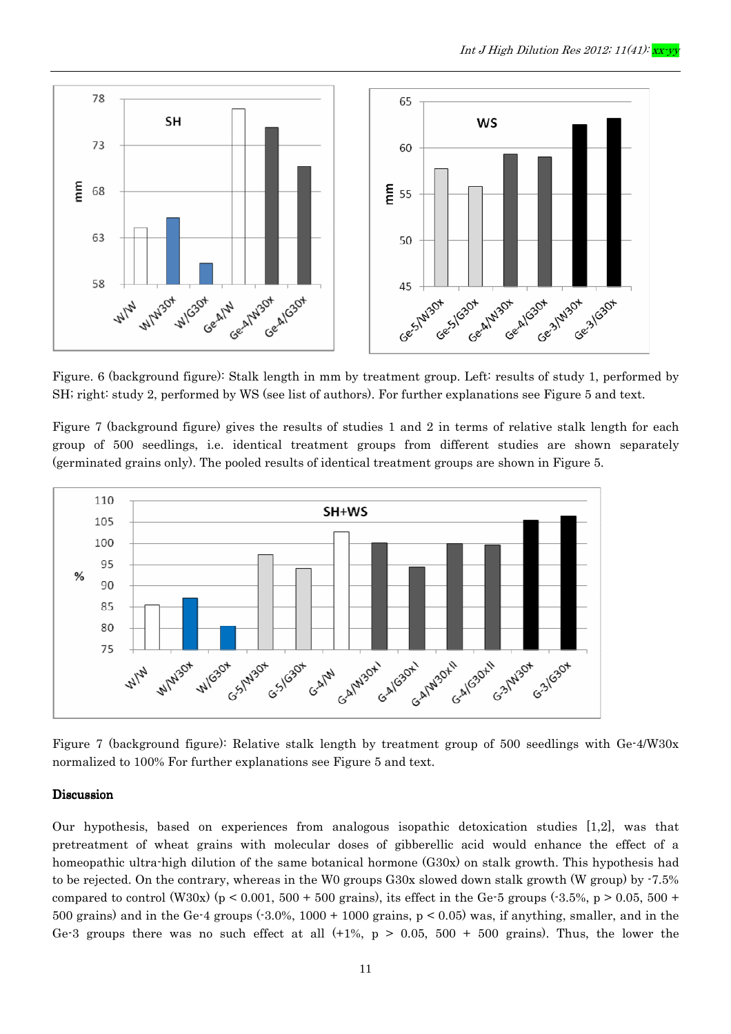

Figure. 6 (background figure): Stalk length in mm by treatment group. Left: results of study 1, performed by SH; right: study 2, performed by WS (see list of authors). For further explanations see Figure 5 and text.

Figure 7 (background figure) gives the results of studies 1 and 2 in terms of relative stalk length for each group of 500 seedlings, i.e. identical treatment groups from different studies are shown separately (germinated grains only). The pooled results of identical treatment groups are shown in Figure 5.



Figure 7 (background figure): Relative stalk length by treatment group of 500 seedlings with Ge-4/W30x normalized to 100% For further explanations see Figure 5 and text.

#### Discussion

Our hypothesis, based on experiences from analogous isopathic detoxication studies [1,2], was that pretreatment of wheat grains with molecular doses of gibberellic acid would enhance the effect of a homeopathic ultra-high dilution of the same botanical hormone (G30x) on stalk growth. This hypothesis had to be rejected. On the contrary, whereas in the W0 groups G30x slowed down stalk growth (W group) by -7.5% compared to control (W30x) (p < 0.001, 500 + 500 grains), its effect in the Ge-5 groups (-3.5%, p > 0.05, 500 + 500 grains) and in the Ge-4 groups  $(.3.0\%, 1000 + 1000)$  grains,  $p < 0.05$ ) was, if anything, smaller, and in the Ge-3 groups there was no such effect at all  $(+1\%$ ,  $p > 0.05$ , 500 + 500 grains). Thus, the lower the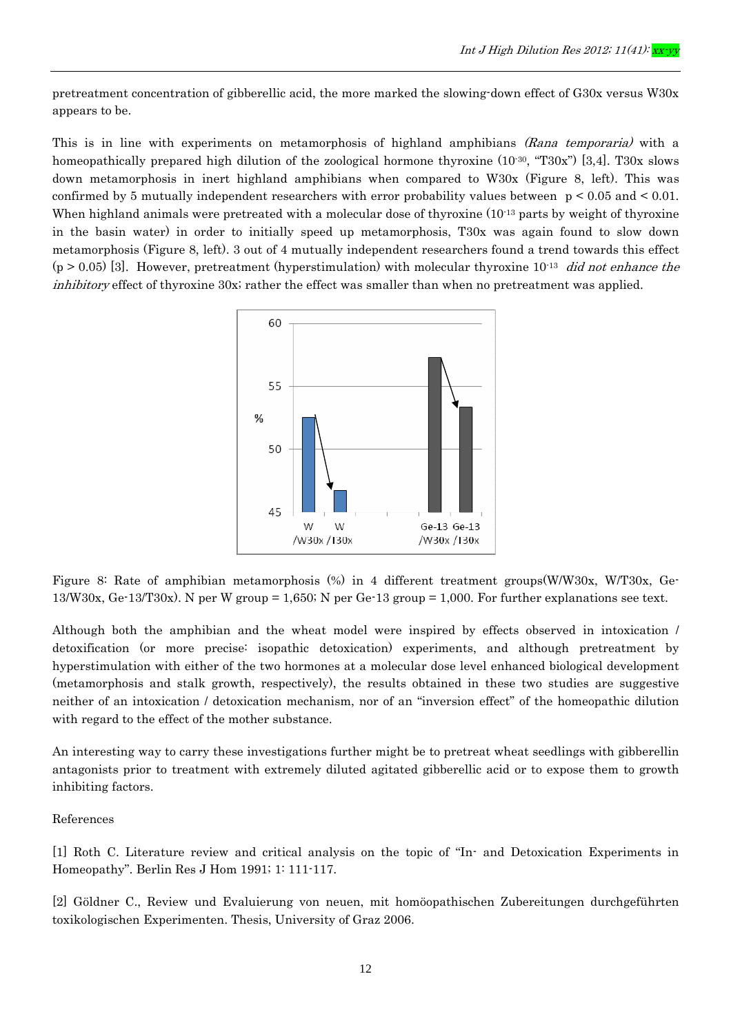pretreatment concentration of gibberellic acid, the more marked the slowing-down effect of G30x versus W30x appears to be.

This is in line with experiments on metamorphosis of highland amphibians (Rana temporaria) with a homeopathically prepared high dilution of the zoological hormone thyroxine (10<sup>-30</sup>, "T30x") [3,4]. T30x slows down metamorphosis in inert highland amphibians when compared to W30x (Figure 8, left). This was confirmed by 5 mutually independent researchers with error probability values between  $p \le 0.05$  and  $\le 0.01$ . When highland animals were pretreated with a molecular dose of thyroxine (10<sup>-13</sup> parts by weight of thyroxine in the basin water) in order to initially speed up metamorphosis, T30x was again found to slow down metamorphosis (Figure 8, left). 3 out of 4 mutually independent researchers found a trend towards this effect  $(p > 0.05)$  [3]. However, pretreatment (hyperstimulation) with molecular thyroxine 10<sup>-13</sup> did not enhance the inhibitory effect of thyroxine 30x; rather the effect was smaller than when no pretreatment was applied.



Figure 8: Rate of amphibian metamorphosis (%) in 4 different treatment groups(W/W30x, W/T30x, Ge-13/W30x, Ge-13/T30x). N per W group = 1,650; N per Ge-13 group = 1,000. For further explanations see text.

Although both the amphibian and the wheat model were inspired by effects observed in intoxication / detoxification (or more precise: isopathic detoxication) experiments, and although pretreatment by hyperstimulation with either of the two hormones at a molecular dose level enhanced biological development (metamorphosis and stalk growth, respectively), the results obtained in these two studies are suggestive neither of an intoxication / detoxication mechanism, nor of an "inversion effect" of the homeopathic dilution with regard to the effect of the mother substance.

An interesting way to carry these investigations further might be to pretreat wheat seedlings with gibberellin antagonists prior to treatment with extremely diluted agitated gibberellic acid or to expose them to growth inhibiting factors.

#### References

[1] Roth C. Literature review and critical analysis on the topic of "In- and Detoxication Experiments in Homeopathy". Berlin Res J Hom 1991; 1: 111-117.

[2] Göldner C., Review und Evaluierung von neuen, mit homöopathischen Zubereitungen durchgeführten toxikologischen Experimenten. Thesis, University of Graz 2006.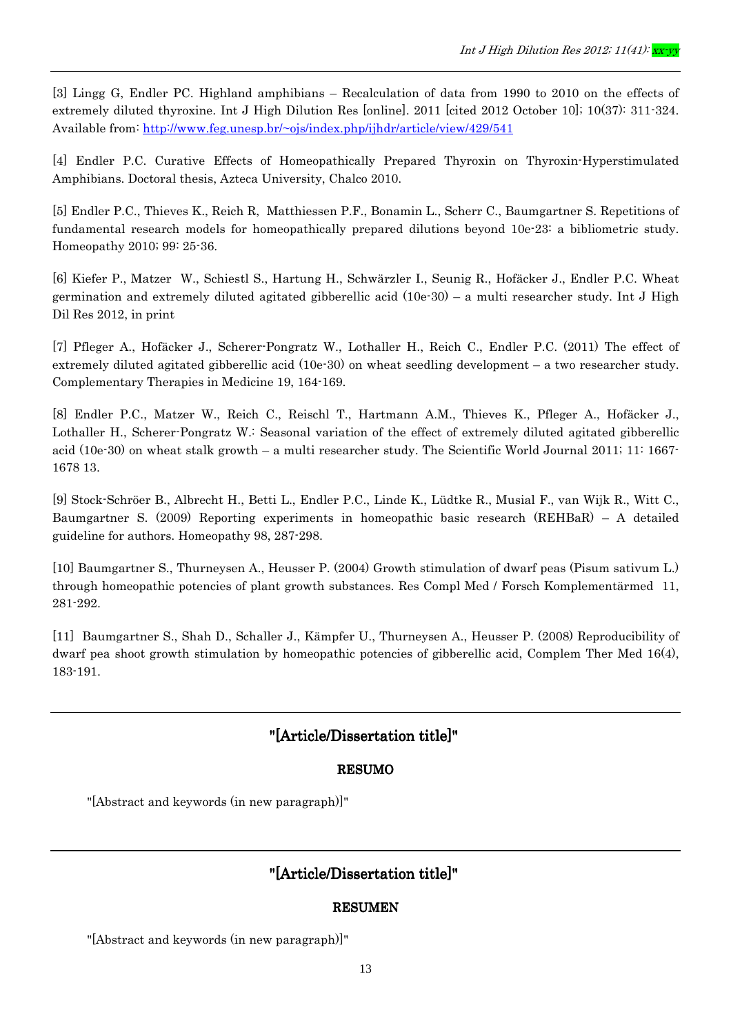[3] Lingg G, Endler PC. Highland amphibians – Recalculation of data from 1990 to 2010 on the effects of extremely diluted thyroxine. Int J High Dilution Res [online]. 2011 [cited 2012 October 10]; 10(37): 311-324. Available from: http://www.feg.unesp.br/~ojs/index.php/ijhdr/article/view/429/541

[4] Endler P.C. Curative Effects of Homeopathically Prepared Thyroxin on Thyroxin-Hyperstimulated Amphibians. Doctoral thesis, Azteca University, Chalco 2010.

[5] Endler P.C., Thieves K., Reich R, Matthiessen P.F., Bonamin L., Scherr C., Baumgartner S. Repetitions of fundamental research models for homeopathically prepared dilutions beyond 10e-23: a bibliometric study. Homeopathy 2010; 99: 25-36.

[6] Kiefer P., Matzer W., Schiestl S., Hartung H., Schwärzler I., Seunig R., Hofäcker J., Endler P.C. Wheat germination and extremely diluted agitated gibberellic acid (10e-30) – a multi researcher study. Int J High Dil Res 2012, in print

[7] Pfleger A., Hofäcker J., Scherer-Pongratz W., Lothaller H., Reich C., Endler P.C. (2011) The effect of extremely diluted agitated gibberellic acid (10e-30) on wheat seedling development – a two researcher study. Complementary Therapies in Medicine 19, 164-169.

[8] Endler P.C., Matzer W., Reich C., Reischl T., Hartmann A.M., Thieves K., Pfleger A., Hofäcker J., Lothaller H., Scherer-Pongratz W.: Seasonal variation of the effect of extremely diluted agitated gibberellic acid (10e-30) on wheat stalk growth – a multi researcher study. The Scientific World Journal 2011; 11: 1667- 1678 13.

[9] Stock-Schröer B., Albrecht H., Betti L., Endler P.C., Linde K., Lüdtke R., Musial F., van Wijk R., Witt C., Baumgartner S. (2009) Reporting experiments in homeopathic basic research (REHBaR) – A detailed guideline for authors. Homeopathy 98, 287-298.

[10] Baumgartner S., Thurneysen A., Heusser P. (2004) Growth stimulation of dwarf peas (Pisum sativum L.) through homeopathic potencies of plant growth substances. Res Compl Med / Forsch Komplementärmed 11, 281-292.

[11] Baumgartner S., Shah D., Schaller J., Kämpfer U., Thurneysen A., Heusser P. (2008) Reproducibility of dwarf pea shoot growth stimulation by homeopathic potencies of gibberellic acid, Complem Ther Med 16(4), 183-191.

## "[Article/Dissertation title]"

#### RESUMO

"[Abstract and keywords (in new paragraph)]"

## "[Article/Dissertation title]"

#### **RESUMEN**

"[Abstract and keywords (in new paragraph)]"